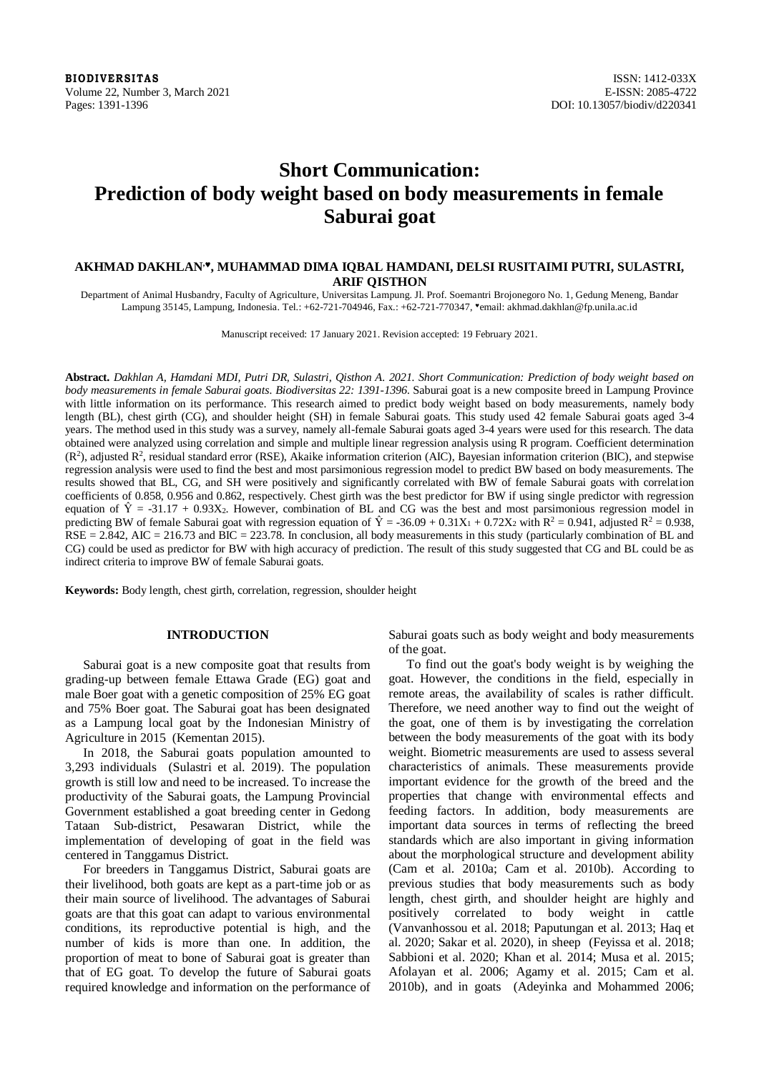**BIODIVERSITAS** ISSN: 1412-033X Volume 22, Number 3, March 2021<br>
Pages: 1391-1396<br>
DOI: 10.13057/biodiv/d220341

# **Short Communication: Prediction of body weight based on body measurements in female Saburai goat**

# **AKHMAD DAKHLAN,, MUHAMMAD DIMA IQBAL HAMDANI, DELSI RUSITAIMI PUTRI, SULASTRI, ARIF QISTHON**

Department of Animal Husbandry, Faculty of Agriculture, Universitas Lampung. Jl. Prof. Soemantri Brojonegoro No. 1, Gedung Meneng, Bandar Lampung 35145, Lampung, Indonesia. Tel.: +62-721-704946, Fax.: +62-721-770347, "email: akhmad.dakhlan@fp.unila.ac.id

Manuscript received: 17 January 2021. Revision accepted: 19 February 2021.

**Abstract.** *Dakhlan A, Hamdani MDI, Putri DR, Sulastri, Qisthon A. 2021. Short Communication: Prediction of body weight based on body measurements in female Saburai goats. Biodiversitas 22: 1391-1396.* Saburai goat is a new composite breed in Lampung Province with little information on its performance. This research aimed to predict body weight based on body measurements, namely body length (BL), chest girth (CG), and shoulder height (SH) in female Saburai goats. This study used 42 female Saburai goats aged 3-4 years. The method used in this study was a survey, namely all-female Saburai goats aged 3-4 years were used for this research. The data obtained were analyzed using correlation and simple and multiple linear regression analysis using R program. Coefficient determination  $(R<sup>2</sup>)$ , adjusted  $R<sup>2</sup>$ , residual standard error (RSE), Akaike information criterion (AIC), Bayesian information criterion (BIC), and stepwise regression analysis were used to find the best and most parsimonious regression model to predict BW based on body measurements. The results showed that BL, CG, and SH were positively and significantly correlated with BW of female Saburai goats with correlation coefficients of 0.858, 0.956 and 0.862, respectively. Chest girth was the best predictor for BW if using single predictor with regression equation of  $\hat{Y} = -31.17 + 0.93X_2$ . However, combination of BL and CG was the best and most parsimonious regression model in predicting BW of female Saburai goat with regression equation of  $\hat{Y} = -36.09 + 0.31X_1 + 0.72X_2$  with  $R^2 = 0.941$ , adjusted  $R^2 = 0.938$ ,  $RSE = 2.842$ , AIC = 216.73 and BIC = 223.78. In conclusion, all body measurements in this study (particularly combination of BL and CG) could be used as predictor for BW with high accuracy of prediction. The result of this study suggested that CG and BL could be as indirect criteria to improve BW of female Saburai goats.

**Keywords:** Body length, chest girth, correlation, regression, shoulder height

# **INTRODUCTION**

Saburai goat is a new composite goat that results from grading-up between female Ettawa Grade (EG) goat and male Boer goat with a genetic composition of 25% EG goat and 75% Boer goat. The Saburai goat has been designated as a Lampung local goat by the Indonesian Ministry of Agriculture in 2015 (Kementan 2015).

In 2018, the Saburai goats population amounted to 3,293 individuals (Sulastri et al. 2019). The population growth is still low and need to be increased. To increase the productivity of the Saburai goats, the Lampung Provincial Government established a goat breeding center in Gedong Tataan Sub-district, Pesawaran District, while the implementation of developing of goat in the field was centered in Tanggamus District.

For breeders in Tanggamus District, Saburai goats are their livelihood, both goats are kept as a part-time job or as their main source of livelihood. The advantages of Saburai goats are that this goat can adapt to various environmental conditions, its reproductive potential is high, and the number of kids is more than one. In addition, the proportion of meat to bone of Saburai goat is greater than that of EG goat. To develop the future of Saburai goats required knowledge and information on the performance of Saburai goats such as body weight and body measurements of the goat.

To find out the goat's body weight is by weighing the goat. However, the conditions in the field, especially in remote areas, the availability of scales is rather difficult. Therefore, we need another way to find out the weight of the goat, one of them is by investigating the correlation between the body measurements of the goat with its body weight. Biometric measurements are used to assess several characteristics of animals. These measurements provide important evidence for the growth of the breed and the properties that change with environmental effects and feeding factors. In addition, body measurements are important data sources in terms of reflecting the breed standards which are also important in giving information about the morphological structure and development ability (Cam et al. 2010a; Cam et al. 2010b). According to previous studies that body measurements such as body length, chest girth, and shoulder height are highly and positively correlated to body weight in cattle (Vanvanhossou et al. 2018; Paputungan et al. 2013; Haq et al. 2020; Sakar et al. 2020), in sheep (Feyissa et al. 2018; Sabbioni et al. 2020; Khan et al. 2014; Musa et al. 2015; Afolayan et al. 2006; Agamy et al. 2015; Cam et al. 2010b), and in goats (Adeyinka and Mohammed 2006;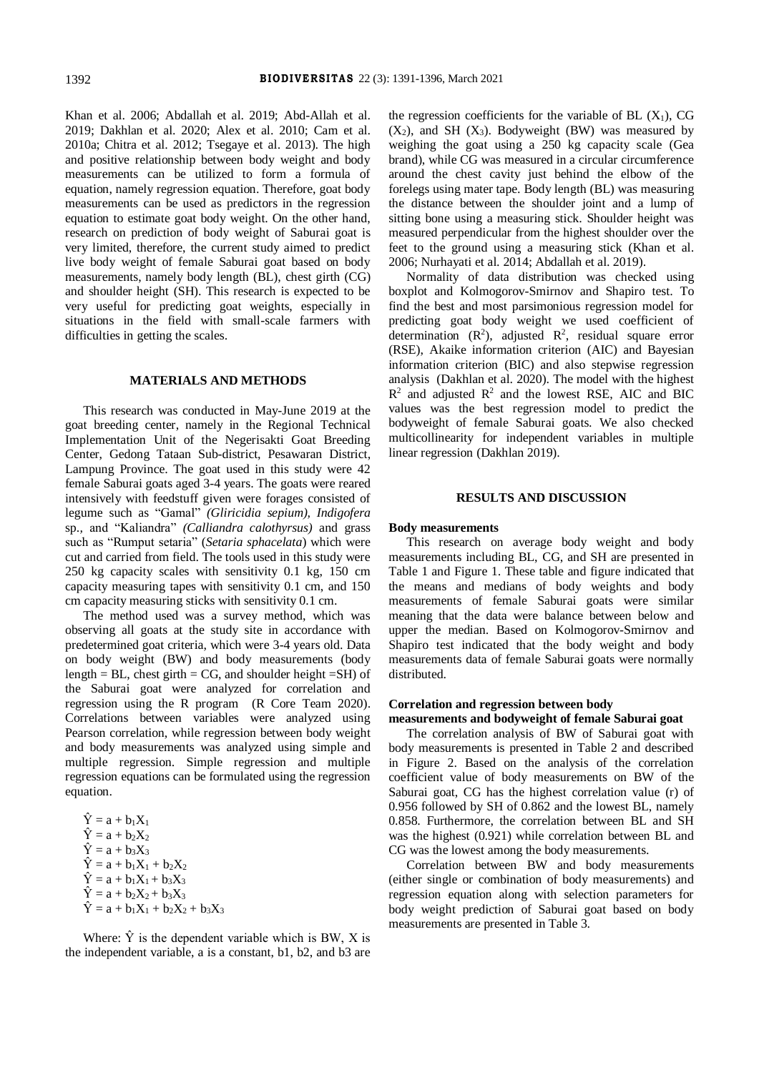Khan et al. 2006; Abdallah et al. 2019; Abd-Allah et al. 2019; Dakhlan et al. 2020; Alex et al. 2010; Cam et al. 2010a; Chitra et al. 2012; Tsegaye et al. 2013). The high and positive relationship between body weight and body measurements can be utilized to form a formula of equation, namely regression equation. Therefore, goat body measurements can be used as predictors in the regression equation to estimate goat body weight. On the other hand, research on prediction of body weight of Saburai goat is very limited, therefore, the current study aimed to predict live body weight of female Saburai goat based on body measurements, namely body length (BL), chest girth (CG) and shoulder height (SH). This research is expected to be very useful for predicting goat weights, especially in situations in the field with small-scale farmers with difficulties in getting the scales.

# **MATERIALS AND METHODS**

This research was conducted in May-June 2019 at the goat breeding center, namely in the Regional Technical Implementation Unit of the Negerisakti Goat Breeding Center, Gedong Tataan Sub-district, Pesawaran District, Lampung Province. The goat used in this study were 42 female Saburai goats aged 3-4 years. The goats were reared intensively with feedstuff given were forages consisted of legume such as "Gamal" *(Gliricidia sepium), Indigofera*  sp.*,* and "Kaliandra" *(Calliandra calothyrsus)* and grass such as "Rumput setaria" (*Setaria sphacelata*) which were cut and carried from field. The tools used in this study were 250 kg capacity scales with sensitivity 0.1 kg, 150 cm capacity measuring tapes with sensitivity 0.1 cm, and 150 cm capacity measuring sticks with sensitivity 0.1 cm.

The method used was a survey method, which was observing all goats at the study site in accordance with predetermined goat criteria, which were 3-4 years old. Data on body weight (BW) and body measurements (body length = BL, chest girth = CG, and shoulder height =SH) of the Saburai goat were analyzed for correlation and regression using the R program (R Core Team 2020). Correlations between variables were analyzed using Pearson correlation, while regression between body weight and body measurements was analyzed using simple and multiple regression. Simple regression and multiple regression equations can be formulated using the regression equation.

 $\hat{Y} = a + b_1 X_1$  $\hat{Y} = a + b_2 X_2$  $\hat{Y} = a + b_3 X_3$  $\hat{Y} = a + b_1X_1 + b_2X_2$  $\hat{Y} = a + b_1X_1 + b_3X_3$  $\hat{Y} = a + b_2X_2 + b_3X_3$  $\hat{Y} = a + b_1X_1 + b_2X_2 + b_3X_3$ 

Where:  $\hat{Y}$  is the dependent variable which is BW, X is the independent variable, a is a constant, b1, b2, and b3 are the regression coefficients for the variable of BL  $(X_1)$ , CG  $(X_2)$ , and SH  $(X_3)$ . Bodyweight (BW) was measured by weighing the goat using a 250 kg capacity scale (Gea brand), while CG was measured in a circular circumference around the chest cavity just behind the elbow of the forelegs using mater tape. Body length (BL) was measuring the distance between the shoulder joint and a lump of sitting bone using a measuring stick. Shoulder height was measured perpendicular from the highest shoulder over the feet to the ground using a measuring stick (Khan et al. 2006; Nurhayati et al. 2014; Abdallah et al. 2019).

Normality of data distribution was checked using boxplot and Kolmogorov-Smirnov and Shapiro test. To find the best and most parsimonious regression model for predicting goat body weight we used coefficient of determination  $(R^2)$ , adjusted  $R^2$ , residual square error (RSE), Akaike information criterion (AIC) and Bayesian information criterion (BIC) and also stepwise regression analysis (Dakhlan et al. 2020). The model with the highest  $R<sup>2</sup>$  and adjusted  $R<sup>2</sup>$  and the lowest RSE, AIC and BIC values was the best regression model to predict the bodyweight of female Saburai goats. We also checked multicollinearity for independent variables in multiple linear regression (Dakhlan 2019).

# **RESULTS AND DISCUSSION**

#### **Body measurements**

This research on average body weight and body measurements including BL, CG, and SH are presented in Table 1 and Figure 1. These table and figure indicated that the means and medians of body weights and body measurements of female Saburai goats were similar meaning that the data were balance between below and upper the median. Based on Kolmogorov-Smirnov and Shapiro test indicated that the body weight and body measurements data of female Saburai goats were normally distributed.

# **Correlation and regression between body**

**measurements and bodyweight of female Saburai goat**

The correlation analysis of BW of Saburai goat with body measurements is presented in Table 2 and described in Figure 2. Based on the analysis of the correlation coefficient value of body measurements on BW of the Saburai goat, CG has the highest correlation value (r) of 0.956 followed by SH of 0.862 and the lowest BL, namely 0.858. Furthermore, the correlation between BL and SH was the highest (0.921) while correlation between BL and CG was the lowest among the body measurements.

Correlation between BW and body measurements (either single or combination of body measurements) and regression equation along with selection parameters for body weight prediction of Saburai goat based on body measurements are presented in Table 3.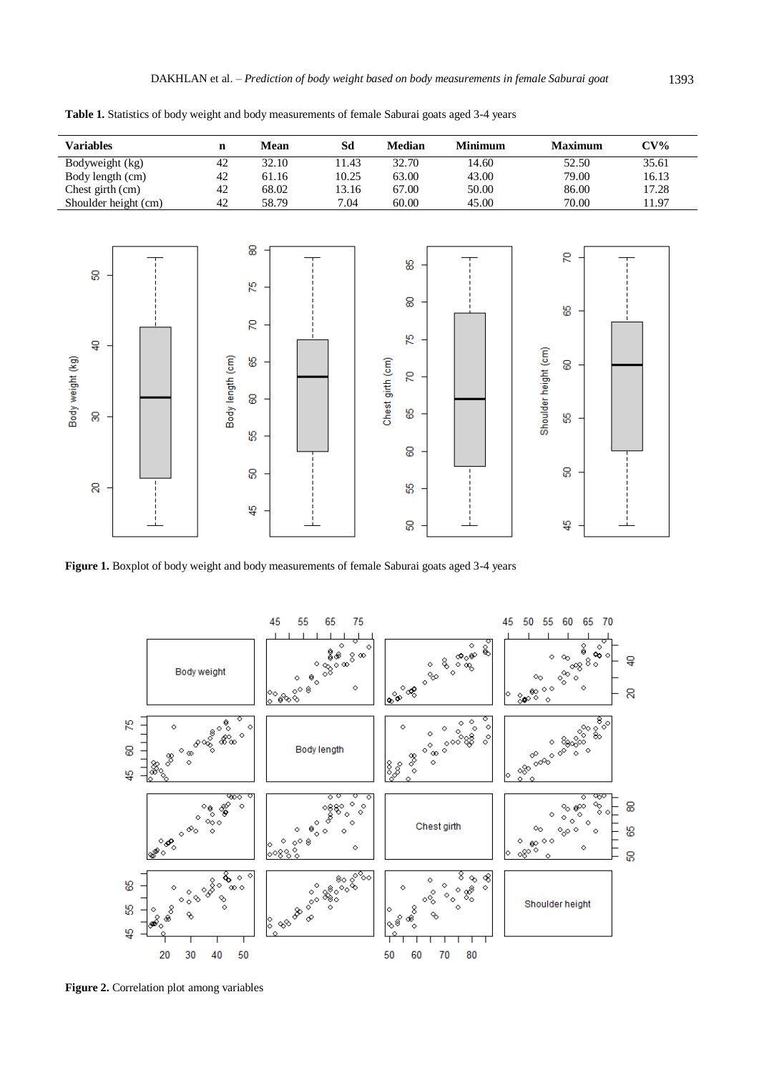| <b>Variables</b>                                  | $\mathbf n$      | Mean                                    | $\mathbf{S}\mathbf{d}$ | Median                                                        | Minimum | <b>Maximum</b>                                                   | $CV\%$ |
|---------------------------------------------------|------------------|-----------------------------------------|------------------------|---------------------------------------------------------------|---------|------------------------------------------------------------------|--------|
| Bodyweight (kg)                                   | 42               | 32.10                                   | 11.43                  | 32.70                                                         | 14.60   | 52.50                                                            | 35.61  |
| Body length (cm)                                  | 42               | 61.16                                   | 10.25                  | 63.00                                                         | 43.00   | 79.00                                                            | 16.13  |
| Chest girth (cm)                                  | 42               | 68.02                                   | 13.16                  | 67.00                                                         | 50.00   | 86.00                                                            | 17.28  |
| Shoulder height (cm)                              | 42               | 58.79                                   | 7.04                   | 60.00                                                         | 45.00   | $70.00\,$                                                        | 11.97  |
| 8<br>$\overline{a}$<br>Body weight (kg)<br>8<br>8 | Body length (cm) | 8<br>54<br>g<br>8<br>8<br>ЬΩ<br>8<br>40 |                        | 58<br>8<br>54<br>Chest girth (cm)<br>g<br>8<br>8<br>ပ္စာ<br>8 |         | Я<br>8<br>Shoulder height (cm)<br>8<br>10<br>8<br>$\frac{16}{4}$ |        |

**Table 1.** Statistics of body weight and body measurements of female Saburai goats aged 3-4 years

**Figure 1.** Boxplot of body weight and body measurements of female Saburai goats aged 3-4 years



**Figure 2.** Correlation plot among variables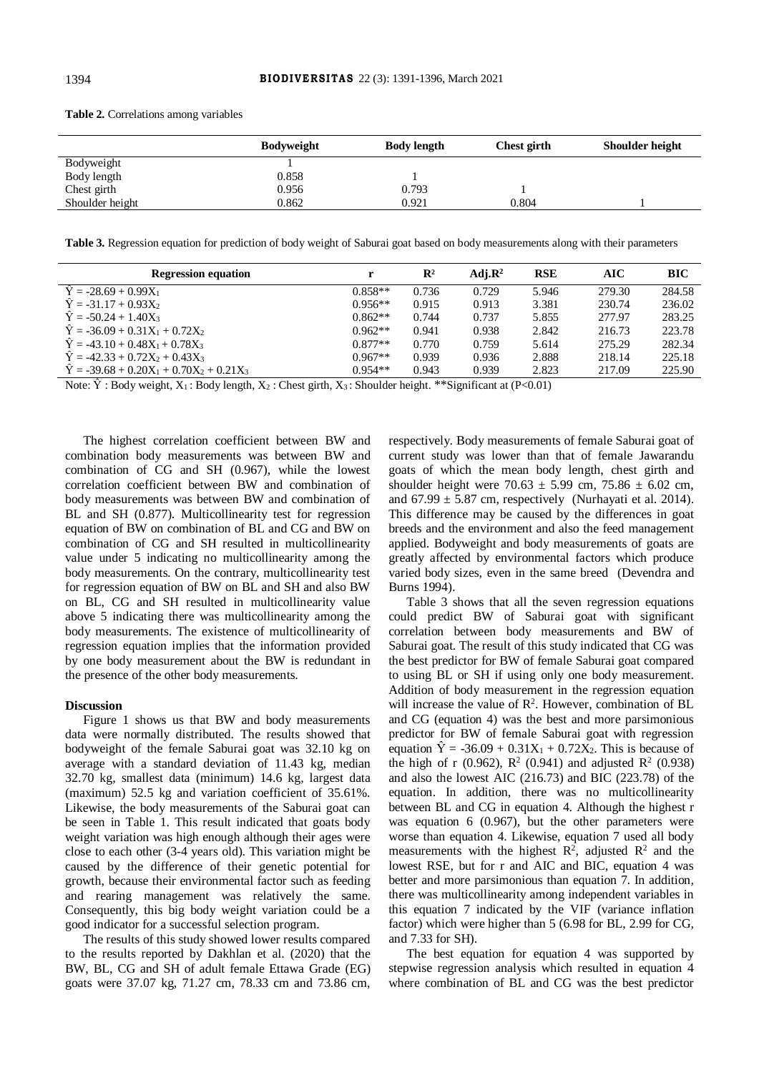|                 | <b>Bodyweight</b> | <b>Body length</b> | Chest girth | Shoulder height |
|-----------------|-------------------|--------------------|-------------|-----------------|
| Bodyweight      |                   |                    |             |                 |
| Body length     | 0.858             |                    |             |                 |
| Chest girth     | 0.956             | 0.793              |             |                 |
| Shoulder height | 0.862             | 0.921              | 0.804       |                 |

**Table 2.** Correlations among variables

**Table 3.** Regression equation for prediction of body weight of Saburai goat based on body measurements along with their parameters

| <b>Regression equation</b>                       |           | $\mathbb{R}^2$ | Adi. $\mathbb{R}^2$ | <b>RSE</b> | AIC    | <b>BIC</b> |
|--------------------------------------------------|-----------|----------------|---------------------|------------|--------|------------|
| $\hat{Y} = -28.69 + 0.99X_1$                     | $0.858**$ | 0.736          | 0.729               | 5.946      | 279.30 | 284.58     |
| $\dot{Y} = -31.17 + 0.93X_2$                     | $0.956**$ | 0.915          | 0.913               | 3.381      | 230.74 | 236.02     |
| $\dot{Y} = -50.24 + 1.40X_3$                     | $0.862**$ | 0.744          | 0.737               | 5.855      | 277.97 | 283.25     |
| $\dot{Y} = -36.09 + 0.31X_1 + 0.72X_2$           | $0.962**$ | 0.941          | 0.938               | 2.842      | 216.73 | 223.78     |
| $\dot{Y} = -43.10 + 0.48X_1 + 0.78X_3$           | $0.877**$ | 0.770          | 0.759               | 5.614      | 275.29 | 282.34     |
| $\dot{Y} = -42.33 + 0.72X_2 + 0.43X_3$           | $0.967**$ | 0.939          | 0.936               | 2.888      | 218.14 | 225.18     |
| $\dot{Y} = -39.68 + 0.20X_1 + 0.70X_2 + 0.21X_3$ | $0.954**$ | 0.943          | 0.939               | 2.823      | 217.09 | 225.90     |

Note:  $\hat{Y}$ : Body weight,  $X_1$ : Body length,  $X_2$ : Chest girth,  $X_3$ : Shoulder height. \*\*Significant at (P<0.01)

The highest correlation coefficient between BW and combination body measurements was between BW and combination of CG and SH (0.967), while the lowest correlation coefficient between BW and combination of body measurements was between BW and combination of BL and SH (0.877). Multicollinearity test for regression equation of BW on combination of BL and CG and BW on combination of CG and SH resulted in multicollinearity value under 5 indicating no multicollinearity among the body measurements. On the contrary, multicollinearity test for regression equation of BW on BL and SH and also BW on BL, CG and SH resulted in multicollinearity value above 5 indicating there was multicollinearity among the body measurements. The existence of multicollinearity of regression equation implies that the information provided by one body measurement about the BW is redundant in the presence of the other body measurements.

### **Discussion**

Figure 1 shows us that BW and body measurements data were normally distributed. The results showed that bodyweight of the female Saburai goat was 32.10 kg on average with a standard deviation of 11.43 kg, median 32.70 kg, smallest data (minimum) 14.6 kg, largest data (maximum) 52.5 kg and variation coefficient of 35.61%. Likewise, the body measurements of the Saburai goat can be seen in Table 1. This result indicated that goats body weight variation was high enough although their ages were close to each other (3-4 years old). This variation might be caused by the difference of their genetic potential for growth, because their environmental factor such as feeding and rearing management was relatively the same. Consequently, this big body weight variation could be a good indicator for a successful selection program.

The results of this study showed lower results compared to the results reported by Dakhlan et al. (2020) that the BW, BL, CG and SH of adult female Ettawa Grade (EG) goats were 37.07 kg, 71.27 cm, 78.33 cm and 73.86 cm, respectively. Body measurements of female Saburai goat of current study was lower than that of female Jawarandu goats of which the mean body length, chest girth and shoulder height were  $70.63 \pm 5.99$  cm,  $75.86 \pm 6.02$  cm, and  $67.99 \pm 5.87$  cm, respectively (Nurhayati et al. 2014). This difference may be caused by the differences in goat breeds and the environment and also the feed management applied. Bodyweight and body measurements of goats are greatly affected by environmental factors which produce varied body sizes, even in the same breed (Devendra and Burns 1994).

Table 3 shows that all the seven regression equations could predict BW of Saburai goat with significant correlation between body measurements and BW of Saburai goat. The result of this study indicated that CG was the best predictor for BW of female Saburai goat compared to using BL or SH if using only one body measurement. Addition of body measurement in the regression equation will increase the value of  $\mathbb{R}^2$ . However, combination of BL and CG (equation 4) was the best and more parsimonious predictor for BW of female Saburai goat with regression equation  $\hat{Y} = -36.09 + 0.31X_1 + 0.72X_2$ . This is because of the high of r (0.962),  $R^2$  (0.941) and adjusted  $R^2$  (0.938) and also the lowest AIC (216.73) and BIC (223.78) of the equation. In addition, there was no multicollinearity between BL and CG in equation 4. Although the highest r was equation 6 (0.967), but the other parameters were worse than equation 4. Likewise, equation 7 used all body measurements with the highest  $\mathbb{R}^2$ , adjusted  $\mathbb{R}^2$  and the lowest RSE, but for r and AIC and BIC, equation 4 was better and more parsimonious than equation 7. In addition, there was multicollinearity among independent variables in this equation 7 indicated by the VIF (variance inflation factor) which were higher than 5 (6.98 for BL, 2.99 for CG, and 7.33 for SH).

The best equation for equation 4 was supported by stepwise regression analysis which resulted in equation 4 where combination of BL and CG was the best predictor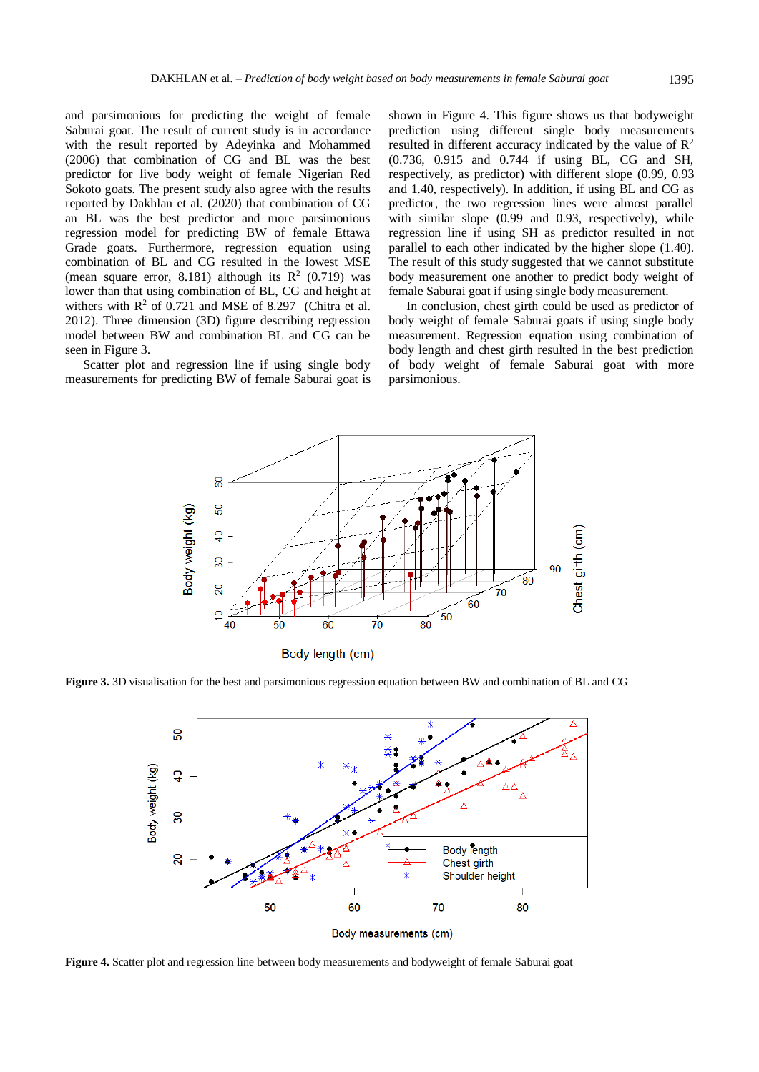and parsimonious for predicting the weight of female Saburai goat. The result of current study is in accordance with the result reported by Adeyinka and Mohammed (2006) that combination of CG and BL was the best predictor for live body weight of female Nigerian Red Sokoto goats. The present study also agree with the results reported by Dakhlan et al. (2020) that combination of CG an BL was the best predictor and more parsimonious regression model for predicting BW of female Ettawa Grade goats. Furthermore, regression equation using combination of BL and CG resulted in the lowest MSE (mean square error, 8.181) although its  $R<sup>2</sup>$  (0.719) was lower than that using combination of BL, CG and height at withers with  $R^2$  of 0.721 and MSE of 8.297 (Chitra et al. 2012). Three dimension (3D) figure describing regression model between BW and combination BL and CG can be seen in Figure 3.

Scatter plot and regression line if using single body measurements for predicting BW of female Saburai goat is shown in Figure 4. This figure shows us that bodyweight prediction using different single body measurements resulted in different accuracy indicated by the value of  $\mathbb{R}^2$ (0.736, 0.915 and 0.744 if using BL, CG and SH, respectively, as predictor) with different slope (0.99, 0.93 and 1.40, respectively). In addition, if using BL and CG as predictor, the two regression lines were almost parallel with similar slope (0.99 and 0.93, respectively), while regression line if using SH as predictor resulted in not parallel to each other indicated by the higher slope (1.40). The result of this study suggested that we cannot substitute body measurement one another to predict body weight of female Saburai goat if using single body measurement.

In conclusion, chest girth could be used as predictor of body weight of female Saburai goats if using single body measurement. Regression equation using combination of body length and chest girth resulted in the best prediction of body weight of female Saburai goat with more parsimonious.



**Figure 3.** 3D visualisation for the best and parsimonious regression equation between BW and combination of BL and CG



**Figure 4.** Scatter plot and regression line between body measurements and bodyweight of female Saburai goat